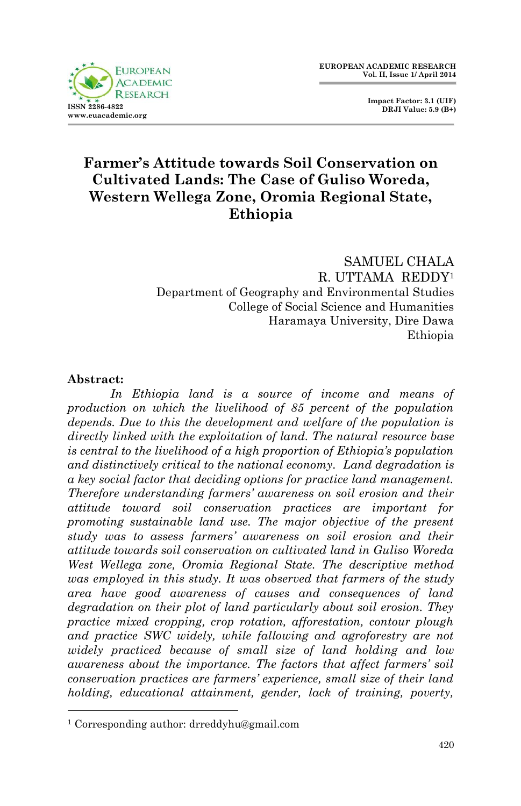

 **Impact Factor: 3.1 (UIF) DRJI Value: 5.9 (B+)**

## **Farmer's Attitude towards Soil Conservation on Cultivated Lands: The Case of Guliso Woreda, Western Wellega Zone, Oromia Regional State, Ethiopia**

SAMUEL CHALA R. UTTAMA REDDY<sup>1</sup> Department of Geography and Environmental Studies College of Social Science and Humanities Haramaya University, Dire Dawa Ethiopia

#### **Abstract:**

1

*In Ethiopia land is a source of income and means of production on which the livelihood of 85 percent of the population depends. Due to this the development and welfare of the population is directly linked with the exploitation of land. The natural resource base is central to the livelihood of a high proportion of Ethiopia's population and distinctively critical to the national economy. Land degradation is a key social factor that deciding options for practice land management. Therefore understanding farmers' awareness on soil erosion and their attitude toward soil conservation practices are important for promoting sustainable land use. The major objective of the present study was to assess farmers' awareness on soil erosion and their attitude towards soil conservation on cultivated land in Guliso Woreda West Wellega zone, Oromia Regional State. The descriptive method was employed in this study. It was observed that farmers of the study area have good awareness of causes and consequences of land degradation on their plot of land particularly about soil erosion. They practice mixed cropping, crop rotation, afforestation, contour plough and practice SWC widely, while fallowing and agroforestry are not widely practiced because of small size of land holding and low awareness about the importance. The factors that affect farmers' soil conservation practices are farmers' experience, small size of their land holding, educational attainment, gender, lack of training, poverty,* 

<sup>1</sup> Corresponding author: drreddyhu@gmail.com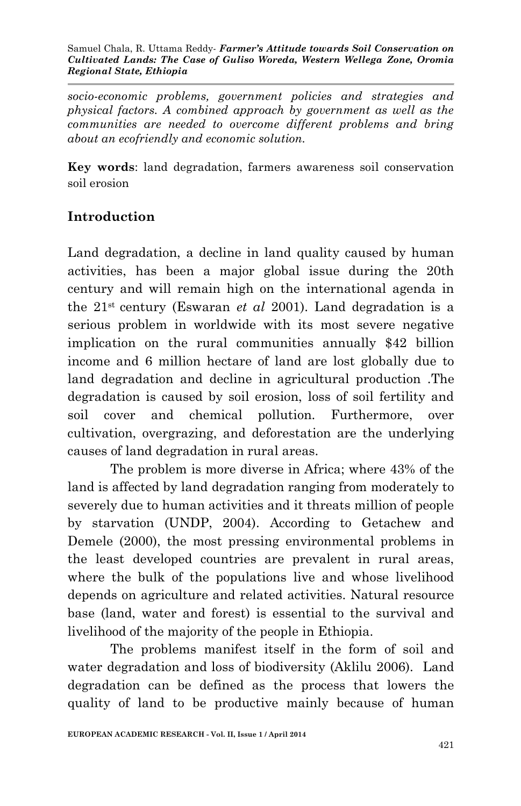Samuel Chala, R. Uttama Reddy*- Farmer's Attitude towards Soil Conservation on Cultivated Lands: The Case of Guliso Woreda, Western Wellega Zone, Oromia Regional State, Ethiopia*

*socio-economic problems, government policies and strategies and physical factors. A combined approach by government as well as the communities are needed to overcome different problems and bring about an ecofriendly and economic solution.*

**Key words**: land degradation, farmers awareness soil conservation soil erosion

## **Introduction**

Land degradation, a decline in land quality caused by human activities, has been a major global issue during the 20th century and will remain high on the international agenda in the 21st century (Eswaran *et al* 2001). Land degradation is a serious problem in worldwide with its most severe negative implication on the rural communities annually \$42 billion income and 6 million hectare of land are lost globally due to land degradation and decline in agricultural production .The degradation is caused by soil erosion, loss of soil fertility and soil cover and chemical pollution. Furthermore, over cultivation, overgrazing, and deforestation are the underlying causes of land degradation in rural areas.

The problem is more diverse in Africa; where 43% of the land is affected by land degradation ranging from moderately to severely due to human activities and it threats million of people by starvation (UNDP, 2004). According to Getachew and Demele (2000), the most pressing environmental problems in the least developed countries are prevalent in rural areas, where the bulk of the populations live and whose livelihood depends on agriculture and related activities. Natural resource base (land, water and forest) is essential to the survival and livelihood of the majority of the people in Ethiopia.

The problems manifest itself in the form of soil and water degradation and loss of biodiversity (Aklilu 2006). Land degradation can be defined as the process that lowers the quality of land to be productive mainly because of human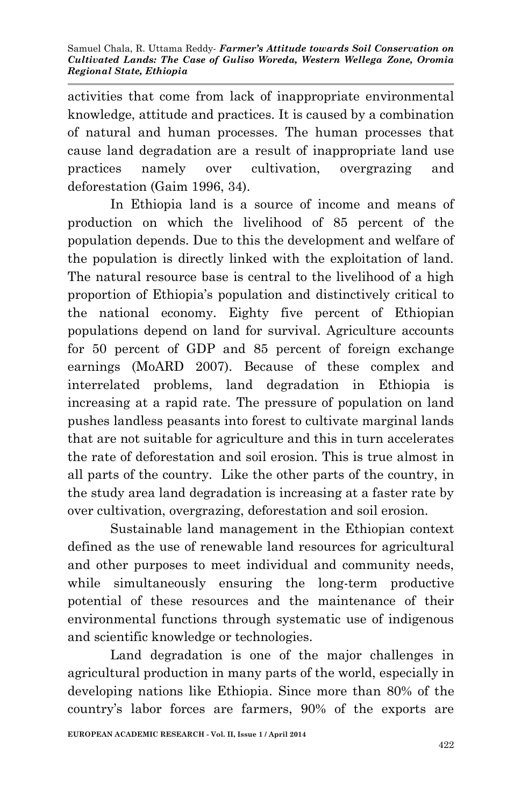activities that come from lack of inappropriate environmental knowledge, attitude and practices. It is caused by a combination of natural and human processes. The human processes that cause land degradation are a result of inappropriate land use practices namely over cultivation, overgrazing and deforestation (Gaim 1996, 34).

In Ethiopia land is a source of income and means of production on which the livelihood of 85 percent of the population depends. Due to this the development and welfare of the population is directly linked with the exploitation of land. The natural resource base is central to the livelihood of a high proportion of Ethiopia's population and distinctively critical to the national economy. Eighty five percent of Ethiopian populations depend on land for survival. Agriculture accounts for 50 percent of GDP and 85 percent of foreign exchange earnings (MoARD 2007). Because of these complex and interrelated problems, land degradation in Ethiopia is increasing at a rapid rate. The pressure of population on land pushes landless peasants into forest to cultivate marginal lands that are not suitable for agriculture and this in turn accelerates the rate of deforestation and soil erosion. This is true almost in all parts of the country. Like the other parts of the country, in the study area land degradation is increasing at a faster rate by over cultivation, overgrazing, deforestation and soil erosion.

Sustainable land management in the Ethiopian context defined as the use of renewable land resources for agricultural and other purposes to meet individual and community needs, while simultaneously ensuring the long-term productive potential of these resources and the maintenance of their environmental functions through systematic use of indigenous and scientific knowledge or technologies.

Land degradation is one of the major challenges in agricultural production in many parts of the world, especially in developing nations like Ethiopia. Since more than 80% of the country's labor forces are farmers, 90% of the exports are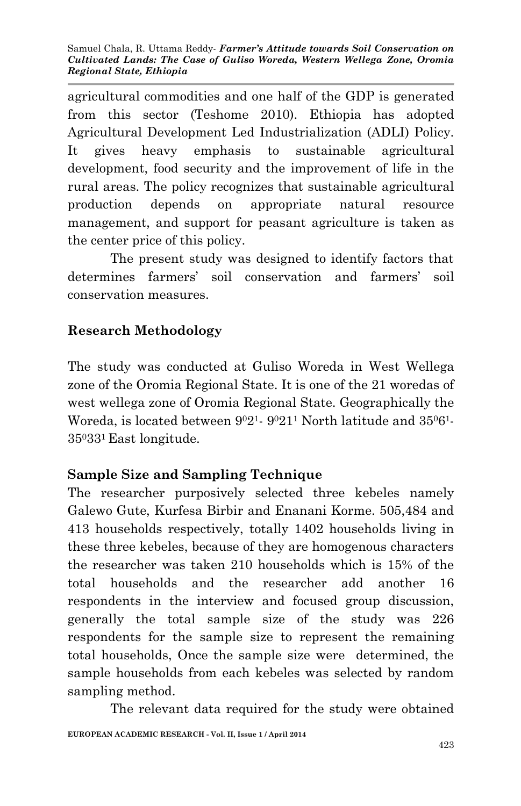agricultural commodities and one half of the GDP is generated from this sector (Teshome 2010). Ethiopia has adopted Agricultural Development Led Industrialization (ADLI) Policy. It gives heavy emphasis to sustainable agricultural development, food security and the improvement of life in the rural areas. The policy recognizes that sustainable agricultural production depends on appropriate natural resource management, and support for peasant agriculture is taken as the center price of this policy.

The present study was designed to identify factors that determines farmers' soil conservation and farmers' soil conservation measures.

# **Research Methodology**

The study was conducted at Guliso Woreda in West Wellega zone of the Oromia Regional State. It is one of the 21 woredas of west wellega zone of Oromia Regional State. Geographically the Woreda, is located between  $9^02^1$ -  $9^021^1$  North latitude and  $35^06^1$ -350331 East longitude.

# **Sample Size and Sampling Technique**

The researcher purposively selected three kebeles namely Galewo Gute, Kurfesa Birbir and Enanani Korme. 505,484 and 413 households respectively, totally 1402 households living in these three kebeles, because of they are homogenous characters the researcher was taken 210 households which is 15% of the total households and the researcher add another 16 respondents in the interview and focused group discussion, generally the total sample size of the study was 226 respondents for the sample size to represent the remaining total households, Once the sample size were determined, the sample households from each kebeles was selected by random sampling method.

The relevant data required for the study were obtained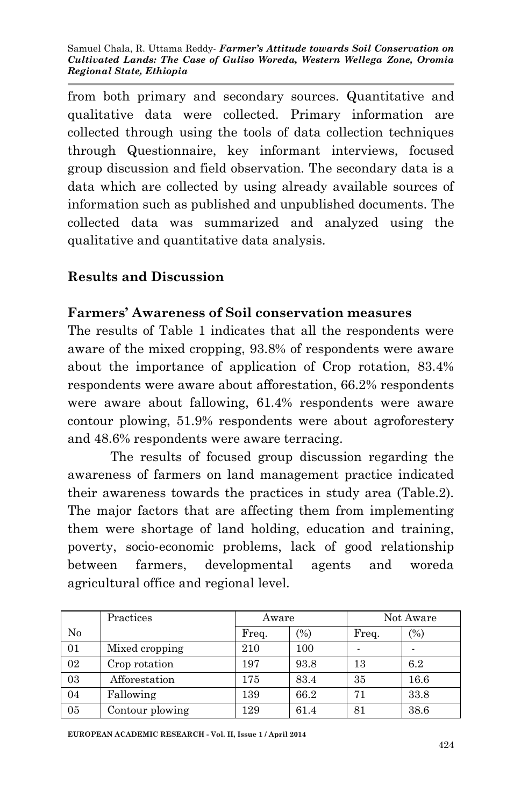Samuel Chala, R. Uttama Reddy*- Farmer's Attitude towards Soil Conservation on Cultivated Lands: The Case of Guliso Woreda, Western Wellega Zone, Oromia Regional State, Ethiopia*

from both primary and secondary sources. Quantitative and qualitative data were collected. Primary information are collected through using the tools of data collection techniques through Questionnaire, key informant interviews, focused group discussion and field observation. The secondary data is a data which are collected by using already available sources of information such as published and unpublished documents. The collected data was summarized and analyzed using the qualitative and quantitative data analysis.

### **Results and Discussion**

#### **Farmers' Awareness of Soil conservation measures**

The results of Table 1 indicates that all the respondents were aware of the mixed cropping, 93.8% of respondents were aware about the importance of application of Crop rotation, 83.4% respondents were aware about afforestation, 66.2% respondents were aware about fallowing, 61.4% respondents were aware contour plowing, 51.9% respondents were about agroforestery and 48.6% respondents were aware terracing.

The results of focused group discussion regarding the awareness of farmers on land management practice indicated their awareness towards the practices in study area (Table.2). The major factors that are affecting them from implementing them were shortage of land holding, education and training, poverty, socio-economic problems, lack of good relationship between farmers, developmental agents and woreda agricultural office and regional level.

|    | Practices       | Aware |      | Not Aware |      |
|----|-----------------|-------|------|-----------|------|
| No |                 | Freq. | (%)  | Freq.     | (%)  |
| 01 | Mixed cropping  | 210   | 100  |           |      |
| 02 | Crop rotation   | 197   | 93.8 | 13        | 6.2  |
| 03 | Afforestation   | 175   | 83.4 | 35        | 16.6 |
| 04 | Fallowing       | 139   | 66.2 | 71        | 33.8 |
| 05 | Contour plowing | 129   | 61.4 | 81        | 38.6 |

**EUROPEAN ACADEMIC RESEARCH - Vol. II, Issue 1 / April 2014**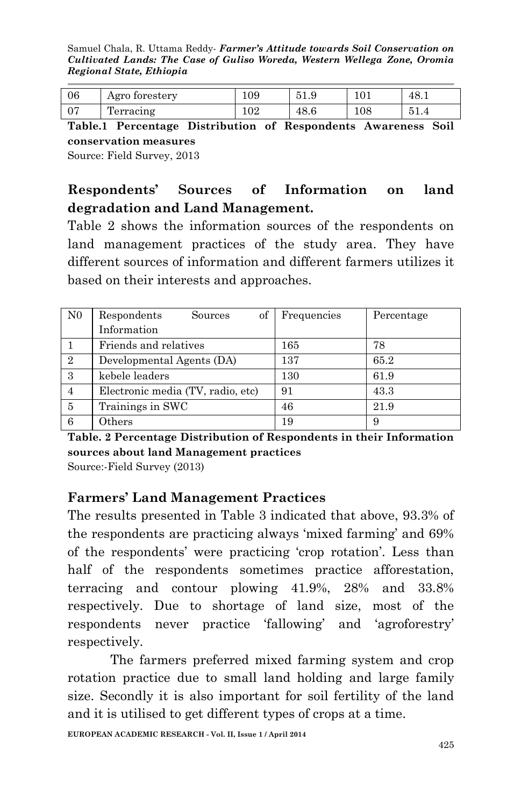Samuel Chala, R. Uttama Reddy*- Farmer's Attitude towards Soil Conservation on Cultivated Lands: The Case of Guliso Woreda, Western Wellega Zone, Oromia Regional State, Ethiopia*

| 06 | Agro forestery            | 109              | 51.9 | 101 | 48.1               |
|----|---------------------------|------------------|------|-----|--------------------|
|    | $\mathbf{r}$<br>Terracing | 102 <sub>1</sub> | 48.6 | 108 | <b>P</b> 1<br>UI.T |

**Table.1 Percentage Distribution of Respondents Awareness Soil conservation measures**

Source: Field Survey, 2013

### **Respondents' Sources of Information on land degradation and Land Management.**

Table 2 shows the information sources of the respondents on land management practices of the study area. They have different sources of information and different farmers utilizes it based on their interests and approaches.

| N <sub>0</sub> | of<br>Respondents<br>Sources      | Frequencies | Percentage |
|----------------|-----------------------------------|-------------|------------|
|                | Information                       |             |            |
|                | Friends and relatives             | 165         | 78         |
| $\overline{2}$ | Developmental Agents (DA)         | 137         | 65.2       |
| 3              | kebele leaders                    | 130         | 61.9       |
| 4              | Electronic media (TV, radio, etc) | 91          | 43.3       |
| 5              | Trainings in SWC                  | 46          | 21.9       |
| 6              | Others                            | 19          |            |

**Table. 2 Percentage Distribution of Respondents in their Information sources about land Management practices**

Source:-Field Survey (2013)

### **Farmers' Land Management Practices**

The results presented in Table 3 indicated that above, 93.3% of the respondents are practicing always 'mixed farming' and 69% of the respondents' were practicing 'crop rotation'. Less than half of the respondents sometimes practice afforestation, terracing and contour plowing 41.9%, 28% and 33.8% respectively. Due to shortage of land size, most of the respondents never practice 'fallowing' and 'agroforestry' respectively.

The farmers preferred mixed farming system and crop rotation practice due to small land holding and large family size. Secondly it is also important for soil fertility of the land and it is utilised to get different types of crops at a time.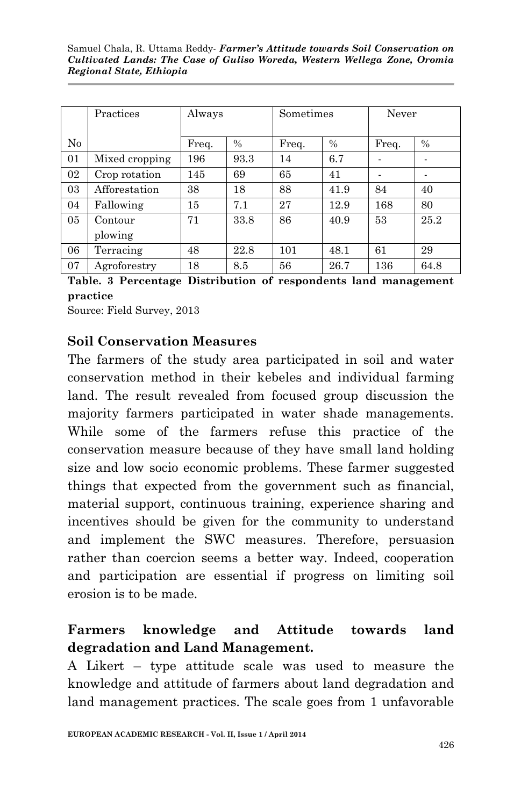|                | Practices      | Always |      | Sometimes |               | Never |               |
|----------------|----------------|--------|------|-----------|---------------|-------|---------------|
|                |                |        |      |           |               |       |               |
| No             |                | Freq.  | $\%$ | Freq.     | $\frac{0}{0}$ | Freq. | $\frac{0}{0}$ |
| 01             | Mixed cropping | 196    | 93.3 | 14        | 6.7           |       |               |
| 02             | Crop rotation  | 145    | 69   | 65        | 41            |       |               |
| 03             | Afforestation  | 38     | 18   | 88        | 41.9          | 84    | 40            |
| 04             | Fallowing      | 15     | 7.1  | 27        | 12.9          | 168   | 80            |
| 0 <sub>5</sub> | Contour        | 71     | 33.8 | 86        | 40.9          | 53    | 25.2          |
|                | plowing        |        |      |           |               |       |               |
| 06             | Terracing      | 48     | 22.8 | 101       | 48.1          | 61    | 29            |
| 07             | Agroforestry   | 18     | 8.5  | 56        | 26.7          | 136   | 64.8          |

**Table. 3 Percentage Distribution of respondents land management practice**

Source: Field Survey, 2013

#### **Soil Conservation Measures**

The farmers of the study area participated in soil and water conservation method in their kebeles and individual farming land. The result revealed from focused group discussion the majority farmers participated in water shade managements. While some of the farmers refuse this practice of the conservation measure because of they have small land holding size and low socio economic problems. These farmer suggested things that expected from the government such as financial, material support, continuous training, experience sharing and incentives should be given for the community to understand and implement the SWC measures. Therefore, persuasion rather than coercion seems a better way. Indeed, cooperation and participation are essential if progress on limiting soil erosion is to be made.

### **Farmers knowledge and Attitude towards land degradation and Land Management.**

A Likert – type attitude scale was used to measure the knowledge and attitude of farmers about land degradation and land management practices. The scale goes from 1 unfavorable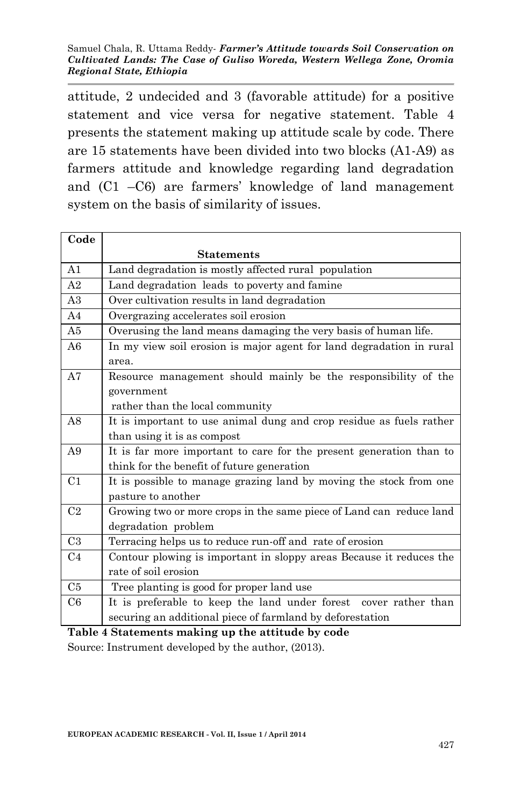attitude, 2 undecided and 3 (favorable attitude) for a positive statement and vice versa for negative statement. Table 4 presents the statement making up attitude scale by code. There are 15 statements have been divided into two blocks (A1-A9) as farmers attitude and knowledge regarding land degradation and (C1 –C6) are farmers' knowledge of land management system on the basis of similarity of issues.

| Code           |                                                                      |  |  |  |  |  |  |
|----------------|----------------------------------------------------------------------|--|--|--|--|--|--|
|                | <b>Statements</b>                                                    |  |  |  |  |  |  |
| A <sub>1</sub> | Land degradation is mostly affected rural population                 |  |  |  |  |  |  |
| A <sub>2</sub> | Land degradation leads to poverty and famine                         |  |  |  |  |  |  |
| A3             | Over cultivation results in land degradation                         |  |  |  |  |  |  |
| A4             | Overgrazing accelerates soil erosion                                 |  |  |  |  |  |  |
| A5             | Overusing the land means damaging the very basis of human life.      |  |  |  |  |  |  |
| A6             | In my view soil erosion is major agent for land degradation in rural |  |  |  |  |  |  |
|                | area.                                                                |  |  |  |  |  |  |
| A7             | Resource management should mainly be the responsibility of the       |  |  |  |  |  |  |
|                | government                                                           |  |  |  |  |  |  |
|                | rather than the local community                                      |  |  |  |  |  |  |
| A8             | It is important to use animal dung and crop residue as fuels rather  |  |  |  |  |  |  |
|                | than using it is as compost                                          |  |  |  |  |  |  |
| A <sub>9</sub> | It is far more important to care for the present generation than to  |  |  |  |  |  |  |
|                | think for the benefit of future generation                           |  |  |  |  |  |  |
| C <sub>1</sub> | It is possible to manage grazing land by moving the stock from one   |  |  |  |  |  |  |
|                | pasture to another                                                   |  |  |  |  |  |  |
| C <sub>2</sub> | Growing two or more crops in the same piece of Land can reduce land  |  |  |  |  |  |  |
|                | degradation problem                                                  |  |  |  |  |  |  |
| C <sub>3</sub> | Terracing helps us to reduce run-off and rate of erosion             |  |  |  |  |  |  |
| C <sub>4</sub> | Contour plowing is important in sloppy areas Because it reduces the  |  |  |  |  |  |  |
|                | rate of soil erosion                                                 |  |  |  |  |  |  |
| C <sub>5</sub> | Tree planting is good for proper land use                            |  |  |  |  |  |  |
| C6             | It is preferable to keep the land under forest cover rather than     |  |  |  |  |  |  |
|                | securing an additional piece of farmland by deforestation            |  |  |  |  |  |  |

**Table 4 Statements making up the attitude by code**

Source: Instrument developed by the author, (2013).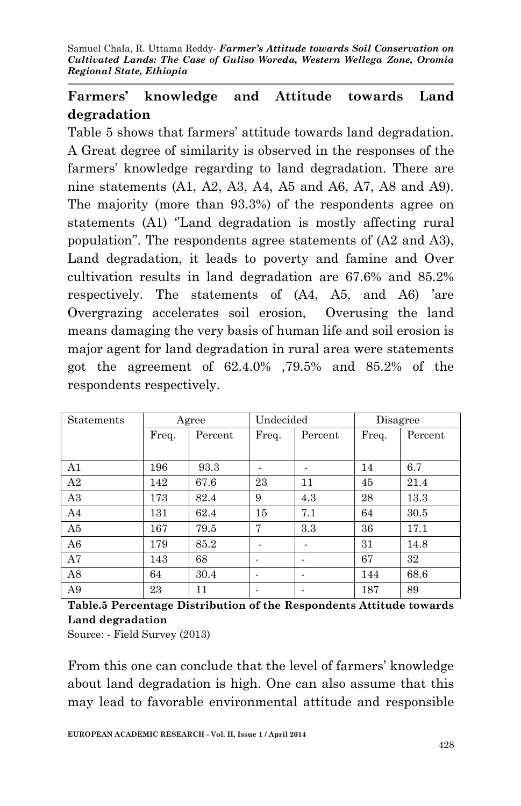# **Farmers' knowledge and Attitude towards Land degradation**

Table 5 shows that farmers' attitude towards land degradation. A Great degree of similarity is observed in the responses of the farmers' knowledge regarding to land degradation. There are nine statements (A1, A2, A3, A4, A5 and A6, A7, A8 and A9). The majority (more than 93.3%) of the respondents agree on statements (A1) ''Land degradation is mostly affecting rural population''. The respondents agree statements of (A2 and A3), Land degradation, it leads to poverty and famine and Over cultivation results in land degradation are 67.6% and 85.2% respectively. The statements of (A4, A5, and A6) 'are Overgrazing accelerates soil erosion, Overusing the land means damaging the very basis of human life and soil erosion is major agent for land degradation in rural area were statements got the agreement of 62.4.0% ,79.5% and 85.2% of the respondents respectively.

| Statements     |       | Agree   | Undecided                |         | Disagree |         |
|----------------|-------|---------|--------------------------|---------|----------|---------|
|                | Freq. | Percent | Freq.                    | Percent | Freq.    | Percent |
|                |       |         |                          |         |          |         |
| A <sub>1</sub> | 196   | 93.3    |                          |         | 14       | 6.7     |
| A2             | 142   | 67.6    | 23                       | 11      | 45       | 21.4    |
| A3             | 173   | 82.4    | 9                        | 4.3     | 28       | 13.3    |
| A4             | 131   | 62.4    | 15                       | 7.1     | 64       | 30.5    |
| A5             | 167   | 79.5    | 7                        | 3.3     | 36       | 17.1    |
| A <sub>6</sub> | 179   | 85.2    |                          |         | 31       | 14.8    |
| A7             | 143   | 68      | $\overline{\phantom{0}}$ |         | 67       | 32      |
| A8             | 64    | 30.4    |                          |         | 144      | 68.6    |
| A9             | 23    | 11      | $\overline{\phantom{a}}$ |         | 187      | 89      |

**Table.5 Percentage Distribution of the Respondents Attitude towards Land degradation**

Source: - Field Survey (2013)

From this one can conclude that the level of farmers' knowledge about land degradation is high. One can also assume that this may lead to favorable environmental attitude and responsible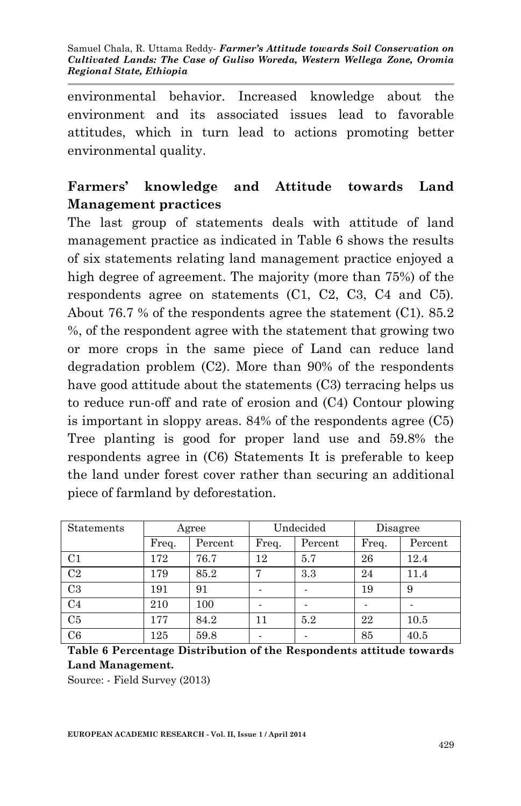environmental behavior. Increased knowledge about the environment and its associated issues lead to favorable attitudes, which in turn lead to actions promoting better environmental quality.

# **Farmers' knowledge and Attitude towards Land Management practices**

The last group of statements deals with attitude of land management practice as indicated in Table 6 shows the results of six statements relating land management practice enjoyed a high degree of agreement. The majority (more than 75%) of the respondents agree on statements (C1, C2, C3, C4 and C5). About 76.7 % of the respondents agree the statement (C1). 85.2 %, of the respondent agree with the statement that growing two or more crops in the same piece of Land can reduce land degradation problem (C2). More than 90% of the respondents have good attitude about the statements (C3) terracing helps us to reduce run-off and rate of erosion and (C4) Contour plowing is important in sloppy areas. 84% of the respondents agree (C5) Tree planting is good for proper land use and 59.8% the respondents agree in (C6) Statements It is preferable to keep the land under forest cover rather than securing an additional piece of farmland by deforestation.

| <b>Statements</b> | Agree |         | Undecided      |         | Disagree |         |
|-------------------|-------|---------|----------------|---------|----------|---------|
|                   | Freq. | Percent | Freq.          | Percent | Freq.    | Percent |
| C <sub>1</sub>    | 172   | 76.7    | 12             | 5.7     | 26       | 12.4    |
| C <sub>2</sub>    | 179   | 85.2    | $\overline{ }$ | 3.3     | 24       | 11.4    |
| C <sub>3</sub>    | 191   | 91      |                |         | 19       | 9       |
| C <sub>4</sub>    | 210   | 100     |                |         |          |         |
| C5                | 177   | 84.2    | 11             | 5.2     | 22       | 10.5    |
| C6                | 125   | 59.8    |                |         | 85       | 40.5    |

**Table 6 Percentage Distribution of the Respondents attitude towards Land Management.**

Source: - Field Survey (2013)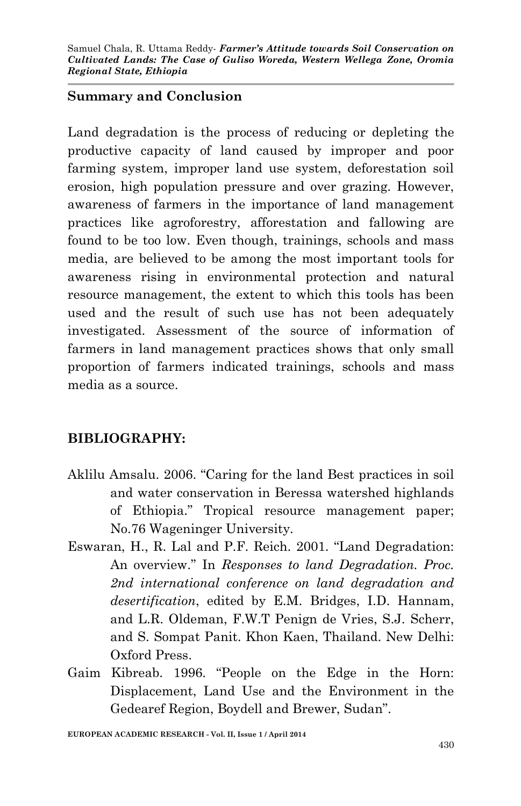### **Summary and Conclusion**

Land degradation is the process of reducing or depleting the productive capacity of land caused by improper and poor farming system, improper land use system, deforestation soil erosion, high population pressure and over grazing. However, awareness of farmers in the importance of land management practices like agroforestry, afforestation and fallowing are found to be too low. Even though, trainings, schools and mass media, are believed to be among the most important tools for awareness rising in environmental protection and natural resource management, the extent to which this tools has been used and the result of such use has not been adequately investigated. Assessment of the source of information of farmers in land management practices shows that only small proportion of farmers indicated trainings, schools and mass media as a source.

### **BIBLIOGRAPHY:**

- Aklilu Amsalu. 2006. "Caring for the land Best practices in soil and water conservation in Beressa watershed highlands of Ethiopia." Tropical resource management paper; No.76 Wageninger University.
- Eswaran, H., R. Lal and P.F. Reich. 2001. "Land Degradation: An overview." In *Responses to land Degradation. Proc. 2nd international conference on land degradation and desertification*, edited by E.M. Bridges, I.D. Hannam, and L.R. Oldeman, F.W.T Penign de Vries, S.J. Scherr, and S. Sompat Panit. Khon Kaen, Thailand. New Delhi: Oxford Press.
- Gaim Kibreab. 1996. "People on the Edge in the Horn: Displacement, Land Use and the Environment in the Gedearef Region, Boydell and Brewer, Sudan".